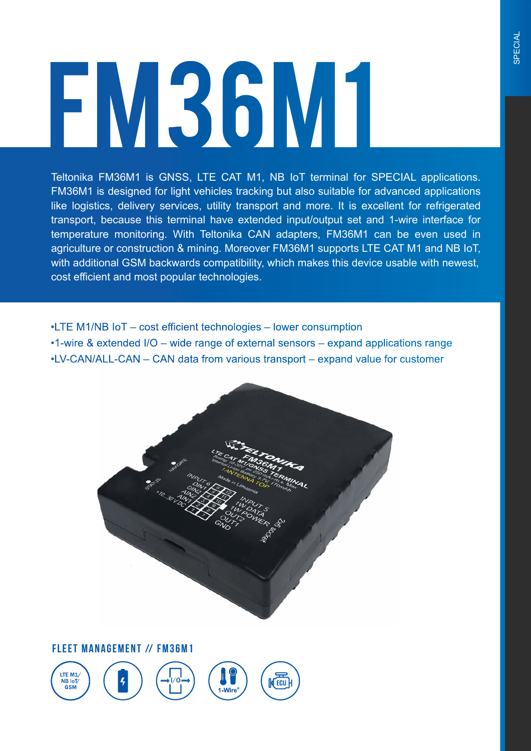# **FM36M1**

Teltonika FM36M1 is GNSS, LTE CAT M1, NB IoT terminal for SPECIAL applications. FM36M1 is designed for light vehicles tracking but also suitable for advanced applications like logistics, delivery services, utility transport and more. It is excellent for refrigerated transport, because this terminal have extended input/output set and 1-wire interface for temperature monitoring. With Teltonika CAN adapters, FM36M1 can be even used in agriculture or construction & mining. Moreover FM36M1 supports LTE CAT M1 and NB IoT, with additional GSM backwards compatibility, which makes this device usable with newest, cost efficient and most popular technologies.

•LTE M1/NB IoT – cost efficient technologies – lower consumption

•1-wire & extended I/O – wide range of external sensors – expand applications range •LV-CAN/ALL-CAN – CAN data from various transport – expand value for customer



**FLEET MANAGEMENT // FM36M1** 

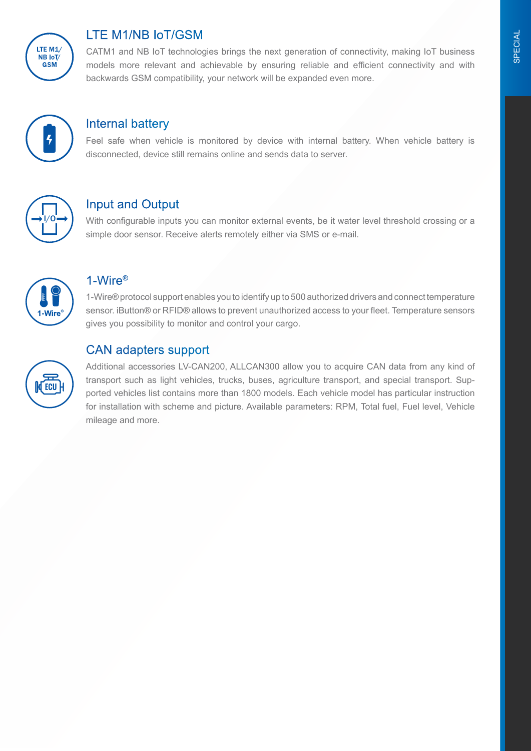

# LTE M1/NB IoT/GSM

CATM1 and NB IoT technologies brings the next generation of connectivity, making IoT business models more relevant and achievable by ensuring reliable and efficient connectivity and with backwards GSM compatibility, your network will be expanded even more.



### Internal battery

Feel safe when vehicle is monitored by device with internal battery. When vehicle battery is disconnected, device still remains online and sends data to server.



# Input and Output

With configurable inputs you can monitor external events, be it water level threshold crossing or a simple door sensor. Receive alerts remotely either via SMS or e-mail.



## 1-Wire®

1-Wire® protocol support enables you to identify up to 500 authorized drivers and connect temperature sensor. iButton® or RFID® allows to prevent unauthorized access to your fleet. Temperature sensors gives you possibility to monitor and control your cargo.

## CAN adapters support



Additional accessories LV-CAN200, ALLCAN300 allow you to acquire CAN data from any kind of transport such as light vehicles, trucks, buses, agriculture transport, and special transport. Supported vehicles list contains more than 1800 models. Each vehicle model has particular instruction for installation with scheme and picture. Available parameters: RPM, Total fuel, Fuel level, Vehicle mileage and more.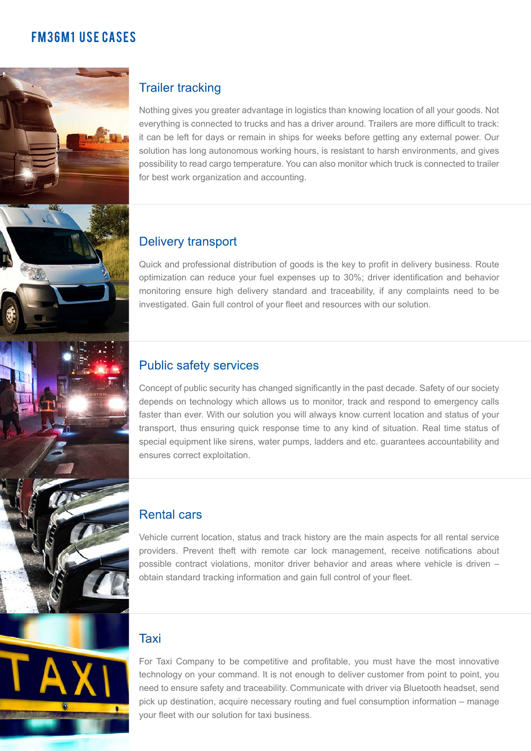# **FM36M1 USF CASES**



# Trailer tracking

Nothing gives you greater advantage in logistics than knowing location of all your goods. Not everything is connected to trucks and has a driver around. Trailers are more difficult to track: it can be left for days or remain in ships for weeks before getting any external power. Our solution has long autonomous working hours, is resistant to harsh environments, and gives possibility to read cargo temperature. You can also monitor which truck is connected to trailer for best work organization and accounting.

### Delivery transport

Quick and professional distribution of goods is the key to profit in delivery business. Route optimization can reduce your fuel expenses up to 30%; driver identification and behavior monitoring ensure high delivery standard and traceability, if any complaints need to be investigated. Gain full control of your fleet and resources with our solution.

### Public safety services

Concept of public security has changed significantly in the past decade. Safety of our society depends on technology which allows us to monitor, track and respond to emergency calls faster than ever. With our solution you will always know current location and status of your transport, thus ensuring quick response time to any kind of situation. Real time status of special equipment like sirens, water pumps, ladders and etc. guarantees accountability and ensures correct exploitation.

### Rental cars

Vehicle current location, status and track history are the main aspects for all rental service providers. Prevent theft with remote car lock management, receive notifications about possible contract violations, monitor driver behavior and areas where vehicle is driven – obtain standard tracking information and gain full control of your fleet.

### Taxi

For Taxi Company to be competitive and profitable, you must have the most innovative technology on your command. It is not enough to deliver customer from point to point, you need to ensure safety and traceability. Communicate with driver via Bluetooth headset, send pick up destination, acquire necessary routing and fuel consumption information – manage your fleet with our solution for taxi business.